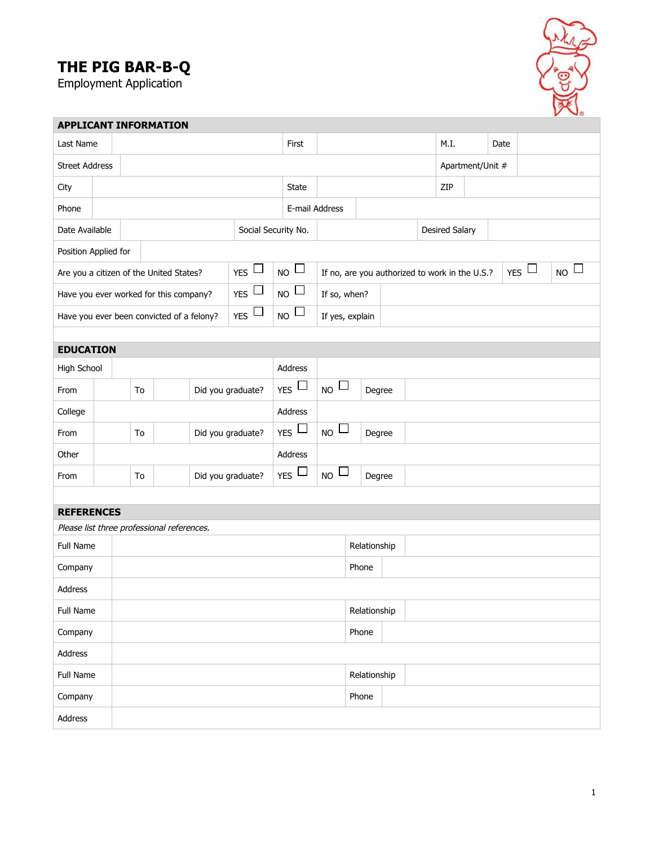## **THE PIG BAR-B-Q**

Employment Application



| <b>APPLICANT INFORMATION</b>                                           |  |                         |  |  |                        |                           |                                 |                                 |  |                                                |  |     |      |                  |                        |  |                    |  |
|------------------------------------------------------------------------|--|-------------------------|--|--|------------------------|---------------------------|---------------------------------|---------------------------------|--|------------------------------------------------|--|-----|------|------------------|------------------------|--|--------------------|--|
| Last Name                                                              |  |                         |  |  |                        |                           | First                           |                                 |  |                                                |  |     | M.I. |                  | Date                   |  |                    |  |
| <b>Street Address</b>                                                  |  |                         |  |  |                        |                           |                                 |                                 |  |                                                |  |     |      | Apartment/Unit # |                        |  |                    |  |
| City                                                                   |  |                         |  |  |                        |                           | State                           |                                 |  |                                                |  | ZIP |      |                  |                        |  |                    |  |
| Phone                                                                  |  |                         |  |  |                        |                           |                                 | E-mail Address                  |  |                                                |  |     |      |                  |                        |  |                    |  |
| Social Security No.<br>Date Available                                  |  |                         |  |  |                        |                           |                                 |                                 |  | <b>Desired Salary</b>                          |  |     |      |                  |                        |  |                    |  |
| Position Applied for                                                   |  |                         |  |  |                        |                           |                                 |                                 |  |                                                |  |     |      |                  |                        |  |                    |  |
| $_{YES}$<br>Are you a citizen of the United States?                    |  |                         |  |  |                        | $_{\text{NO}}$ $\Box$     |                                 |                                 |  | If no, are you authorized to work in the U.S.? |  |     |      |                  | $_{\text{YES}}$ $\Box$ |  | $_{\sf NO}$ $\Box$ |  |
| $_{YES}$ $\square$<br>Have you ever worked for this company?           |  |                         |  |  |                        | $_{\sf NO}$ $\Box$        | If so, when?                    |                                 |  |                                                |  |     |      |                  |                        |  |                    |  |
| $_{\text{YES}}$ $\square$<br>Have you ever been convicted of a felony? |  |                         |  |  |                        | $_{\sf NO}$ $\Box$        | If yes, explain                 |                                 |  |                                                |  |     |      |                  |                        |  |                    |  |
|                                                                        |  |                         |  |  |                        |                           |                                 |                                 |  |                                                |  |     |      |                  |                        |  |                    |  |
| <b>EDUCATION</b>                                                       |  |                         |  |  |                        |                           |                                 |                                 |  |                                                |  |     |      |                  |                        |  |                    |  |
| High School                                                            |  |                         |  |  |                        |                           | Address                         |                                 |  |                                                |  |     |      |                  |                        |  |                    |  |
| From                                                                   |  | To                      |  |  | Did you graduate?      |                           | $_{YES}$ $\square$              | $_{\text{NO}}$ $\Box$           |  | Degree                                         |  |     |      |                  |                        |  |                    |  |
| College                                                                |  |                         |  |  |                        |                           | Address                         |                                 |  |                                                |  |     |      |                  |                        |  |                    |  |
| From                                                                   |  | Did you graduate?<br>To |  |  |                        | $_{\text{YES}}$ $\square$ |                                 | $_{\text{NO}}$ $\Box$<br>Degree |  |                                                |  |     |      |                  |                        |  |                    |  |
| Other                                                                  |  |                         |  |  |                        |                           | Address                         |                                 |  |                                                |  |     |      |                  |                        |  |                    |  |
| From                                                                   |  | Did you graduate?<br>To |  |  | $_{\text{YES}}$ $\Box$ |                           | $_{\text{NO}}$ $\Box$<br>Degree |                                 |  |                                                |  |     |      |                  |                        |  |                    |  |
|                                                                        |  |                         |  |  |                        |                           |                                 |                                 |  |                                                |  |     |      |                  |                        |  |                    |  |
| <b>REFERENCES</b><br>Please list three professional references.        |  |                         |  |  |                        |                           |                                 |                                 |  |                                                |  |     |      |                  |                        |  |                    |  |
| Full Name                                                              |  |                         |  |  |                        |                           |                                 |                                 |  | Relationship                                   |  |     |      |                  |                        |  |                    |  |
| Company                                                                |  |                         |  |  |                        |                           |                                 | Phone                           |  |                                                |  |     |      |                  |                        |  |                    |  |
| Address                                                                |  |                         |  |  |                        |                           |                                 |                                 |  |                                                |  |     |      |                  |                        |  |                    |  |
| Full Name                                                              |  |                         |  |  |                        |                           |                                 |                                 |  | Relationship                                   |  |     |      |                  |                        |  |                    |  |
| Company                                                                |  |                         |  |  |                        | Phone                     |                                 |                                 |  |                                                |  |     |      |                  |                        |  |                    |  |
| Address                                                                |  |                         |  |  |                        |                           |                                 |                                 |  |                                                |  |     |      |                  |                        |  |                    |  |
| Full Name                                                              |  |                         |  |  |                        |                           |                                 |                                 |  |                                                |  |     |      |                  |                        |  |                    |  |
|                                                                        |  |                         |  |  |                        | Relationship<br>Phone     |                                 |                                 |  |                                                |  |     |      |                  |                        |  |                    |  |
| Company                                                                |  |                         |  |  |                        |                           |                                 |                                 |  |                                                |  |     |      |                  |                        |  |                    |  |
| Address                                                                |  |                         |  |  |                        |                           |                                 |                                 |  |                                                |  |     |      |                  |                        |  |                    |  |